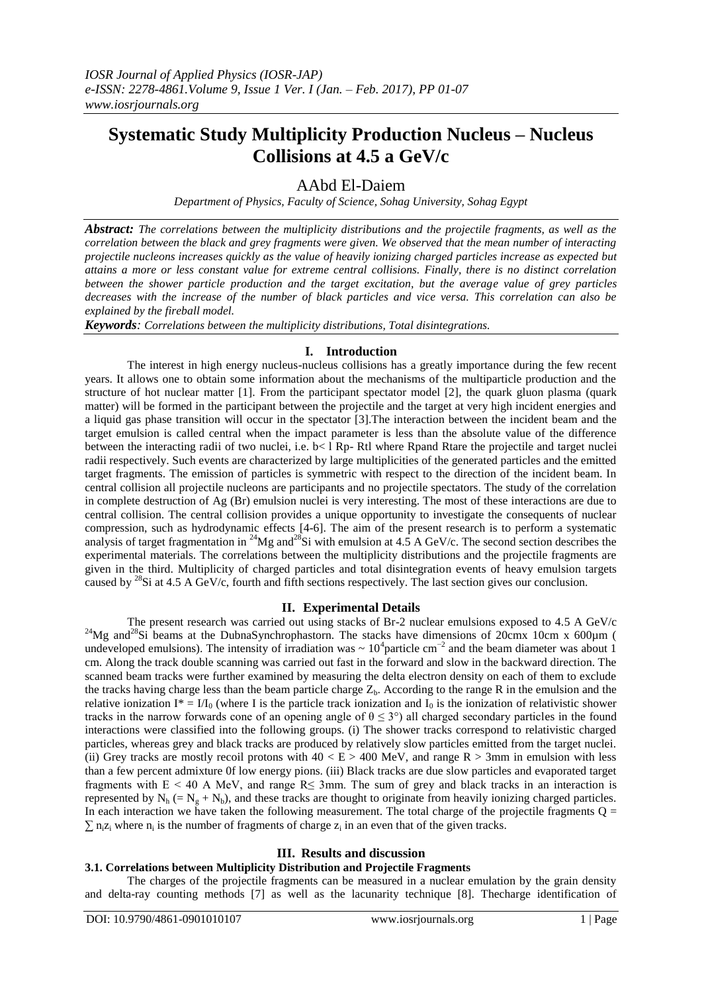# **Systematic Study Multiplicity Production Nucleus – Nucleus Collisions at 4.5 a GeV/c**

# AAbd El-Daiem

*Department of Physics, Faculty of Science, Sohag University, Sohag Egypt*

*Abstract: The correlations between the multiplicity distributions and the projectile fragments, as well as the correlation between the black and grey fragments were given. We observed that the mean number of interacting projectile nucleons increases quickly as the value of heavily ionizing charged particles increase as expected but attains a more or less constant value for extreme central collisions. Finally, there is no distinct correlation between the shower particle production and the target excitation, but the average value of grey particles decreases with the increase of the number of black particles and vice versa. This correlation can also be explained by the fireball model.*

*Keywords: Correlations between the multiplicity distributions, Total disintegrations.*

# **I. Introduction**

The interest in high energy nucleus-nucleus collisions has a greatly importance during the few recent years. It allows one to obtain some information about the mechanisms of the multiparticle production and the structure of hot nuclear matter [1]. From the participant spectator model [2], the quark gluon plasma (quark matter) will be formed in the participant between the projectile and the target at very high incident energies and a liquid gas phase transition will occur in the spectator [3].The interaction between the incident beam and the target emulsion is called central when the impact parameter is less than the absolute value of the difference between the interacting radii of two nuclei, i.e.  $b < 1$  Rp- Rtl where Rpand Rtare the projectile and target nuclei radii respectively. Such events are characterized by large multiplicities of the generated particles and the emitted target fragments. The emission of particles is symmetric with respect to the direction of the incident beam. In central collision all projectile nucleons are participants and no projectile spectators. The study of the correlation in complete destruction of Ag (Br) emulsion nuclei is very interesting. The most of these interactions are due to central collision. The central collision provides a unique opportunity to investigate the consequents of nuclear compression, such as hydrodynamic effects [4-6]. The aim of the present research is to perform a systematic analysis of target fragmentation in <sup>24</sup>Mg and<sup>28</sup>Si with emulsion at  $4.5$  A GeV/c. The second section describes the experimental materials. The correlations between the multiplicity distributions and the projectile fragments are given in the third. Multiplicity of charged particles and total disintegration events of heavy emulsion targets caused by <sup>28</sup>Si at 4.5 A GeV/c, fourth and fifth sections respectively. The last section gives our conclusion.

# **II. Experimental Details**

The present research was carried out using stacks of Br-2 nuclear emulsions exposed to 4.5 A GeV/c <sup>24</sup>Mg and<sup>28</sup>Si beams at the DubnaSynchrophastorn. The stacks have dimensions of 20cmx 10cm x 600 $\mu$ m ( undeveloped emulsions). The intensity of irradiation was ~  $10^4$ particle cm<sup>-2</sup> and the beam diameter was about 1 cm. Along the track double scanning was carried out fast in the forward and slow in the backward direction. The scanned beam tracks were further examined by measuring the delta electron density on each of them to exclude the tracks having charge less than the beam particle charge  $Z_b$ . According to the range R in the emulsion and the relative ionization I\* =  $I/I_0$  (where I is the particle track ionization and  $I_0$  is the ionization of relativistic shower tracks in the narrow forwards cone of an opening angle of  $\theta \leq 3^{\circ}$ ) all charged secondary particles in the found interactions were classified into the following groups. (i) The shower tracks correspond to relativistic charged particles, whereas grey and black tracks are produced by relatively slow particles emitted from the target nuclei. (ii) Grey tracks are mostly recoil protons with  $40 < E > 400$  MeV, and range R  $> 3$ mm in emulsion with less than a few percent admixture 0f low energy pions. (iii) Black tracks are due slow particles and evaporated target fragments with  $E < 40$  A MeV, and range R $\leq$  3mm. The sum of grey and black tracks in an interaction is represented by  $N_h$  (=  $N_g + N_b$ ), and these tracks are thought to originate from heavily ionizing charged particles. In each interaction we have taken the following measurement. The total charge of the projectile fragments  $Q =$  $\sum n_i z_i$  where  $n_i$  is the number of fragments of charge  $z_i$  in an even that of the given tracks.

# **III. Results and discussion**

# **3.1. Correlations between Multiplicity Distribution and Projectile Fragments**

The charges of the projectile fragments can be measured in a nuclear emulation by the grain density and delta-ray counting methods [7] as well as the lacunarity technique [8]. Thecharge identification of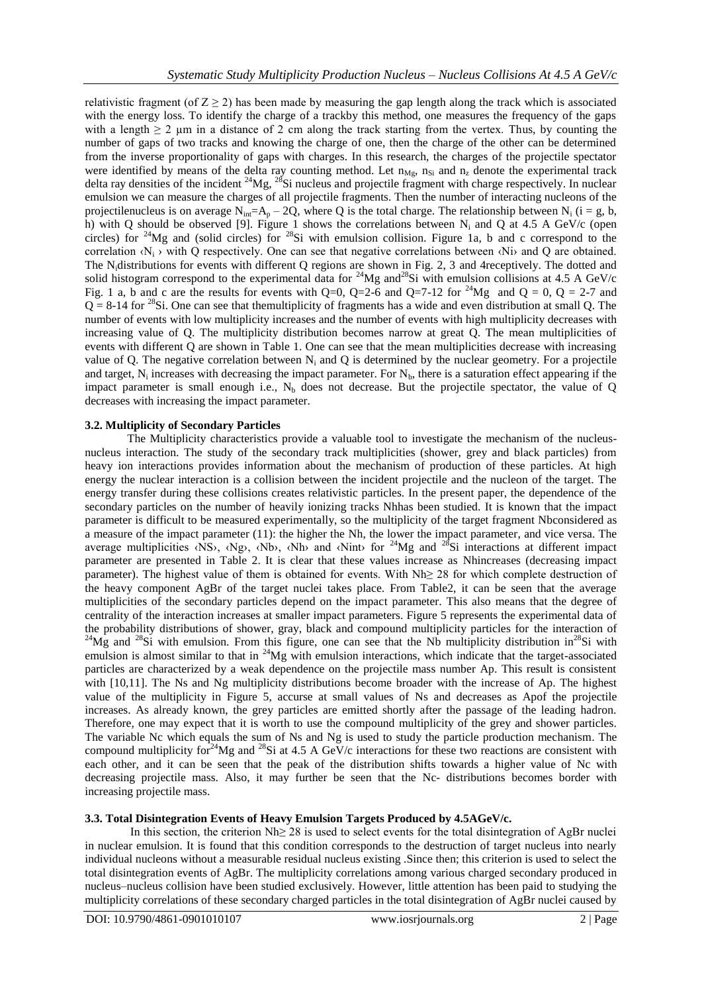relativistic fragment (of  $Z \ge 2$ ) has been made by measuring the gap length along the track which is associated with the energy loss. To identify the charge of a trackby this method, one measures the frequency of the gaps with a length  $\geq 2$  µm in a distance of 2 cm along the track starting from the vertex. Thus, by counting the number of gaps of two tracks and knowing the charge of one, then the charge of the other can be determined from the inverse proportionality of gaps with charges. In this research, the charges of the projectile spectator were identified by means of the delta ray counting method. Let  $n_{Mg}$ ,  $n_{Si}$  and  $n_z$  denote the experimental track delta ray densities of the incident  $^{24}Mg$ ,  $^{28}Si$  nucleus and projectile fragment with charge respectively. In nuclear emulsion we can measure the charges of all projectile fragments. Then the number of interacting nucleons of the projectilenucleus is on average  $N_{\text{ini}}=A_p - 2Q$ , where Q is the total charge. The relationship between N<sub>i</sub> (i = g, b, h) with Q should be observed [9]. Figure 1 shows the correlations between N<sub>i</sub> and Q at 4.5 A GeV/c (open circles) for <sup>24</sup>Mg and (solid circles) for <sup>28</sup>Si with emulsion collision. Figure 1a, b and c correspond to the correlation  $\{N_i\}$  with Q respectively. One can see that negative correlations between  $\{Ni\}$  and Q are obtained. The Nidistributions for events with different Q regions are shown in Fig. 2, 3 and 4receptively. The dotted and solid histogram correspond to the experimental data for <sup>24</sup>Mg and<sup>28</sup>Si with emulsion collisions at 4.5 A GeV/c Fig. 1 a, b and c are the results for events with Q=0, Q=2-6 and Q=7-12 for <sup>24</sup>Mg and Q = 0, Q = 2-7 and  $Q = 8-14$  for <sup>28</sup>Si. One can see that themultiplicity of fragments has a wide and even distribution at small Q. The number of events with low multiplicity increases and the number of events with high multiplicity decreases with increasing value of Q. The multiplicity distribution becomes narrow at great Q. The mean multiplicities of events with different Q are shown in Table 1. One can see that the mean multiplicities decrease with increasing value of Q. The negative correlation between  $N_i$  and Q is determined by the nuclear geometry. For a projectile and target,  $N_i$  increases with decreasing the impact parameter. For  $N_b$ , there is a saturation effect appearing if the impact parameter is small enough i.e.,  $N<sub>b</sub>$  does not decrease. But the projectile spectator, the value of Q decreases with increasing the impact parameter.

#### **3.2. Multiplicity of Secondary Particles**

The Multiplicity characteristics provide a valuable tool to investigate the mechanism of the nucleusnucleus interaction. The study of the secondary track multiplicities (shower, grey and black particles) from heavy ion interactions provides information about the mechanism of production of these particles. At high energy the nuclear interaction is a collision between the incident projectile and the nucleon of the target. The energy transfer during these collisions creates relativistic particles. In the present paper, the dependence of the secondary particles on the number of heavily ionizing tracks Nhhas been studied. It is known that the impact parameter is difficult to be measured experimentally, so the multiplicity of the target fragment Nbconsidered as a measure of the impact parameter (11): the higher the Nh, the lower the impact parameter, and vice versa. The average multiplicities  $\langle NS \rangle$ ,  $\langle Ng \rangle$ ,  $\langle Nb \rangle$ ,  $\langle Nh \rangle$  and  $\langle Nint \rangle$  for <sup>24</sup>Mg and <sup>28</sup>Si interactions at different impact parameter are presented in Table 2. It is clear that these values increase as Nhincreases (decreasing impact parameter). The highest value of them is obtained for events. With Nh≥ 28 for which complete destruction of the heavy component AgBr of the target nuclei takes place. From Table2, it can be seen that the average multiplicities of the secondary particles depend on the impact parameter. This also means that the degree of centrality of the interaction increases at smaller impact parameters. Figure 5 represents the experimental data of the probability distributions of shower, gray, black and compound multiplicity particles for the interaction of  $^{24}Mg$  and  $^{28}Si$  with emulsion. From this figure, one can see that the Nb multiplicity distribution in<sup>28</sup>Si with emulsion is almost similar to that in <sup>24</sup>Mg with emulsion interactions, which indicate that the target-associated particles are characterized by a weak dependence on the projectile mass number Ap. This result is consistent with [10,11]. The Ns and Ng multiplicity distributions become broader with the increase of Ap. The highest value of the multiplicity in Figure 5, accurse at small values of Ns and decreases as Apof the projectile increases. As already known, the grey particles are emitted shortly after the passage of the leading hadron. Therefore, one may expect that it is worth to use the compound multiplicity of the grey and shower particles. The variable Nc which equals the sum of Ns and Ng is used to study the particle production mechanism. The compound multiplicity for<sup>24</sup>Mg and <sup>28</sup>Si at 4.5 A GeV/c interactions for these two reactions are consistent with each other, and it can be seen that the peak of the distribution shifts towards a higher value of Nc with decreasing projectile mass. Also, it may further be seen that the Nc- distributions becomes border with increasing projectile mass.

# **3.3. Total Disintegration Events of Heavy Emulsion Targets Produced by 4.5AGeV/c.**

In this section, the criterion Nh≥ 28 is used to select events for the total disintegration of AgBr nuclei in nuclear emulsion. It is found that this condition corresponds to the destruction of target nucleus into nearly individual nucleons without a measurable residual nucleus existing .Since then; this criterion is used to select the total disintegration events of AgBr. The multiplicity correlations among various charged secondary produced in nucleus–nucleus collision have been studied exclusively. However, little attention has been paid to studying the multiplicity correlations of these secondary charged particles in the total disintegration of AgBr nuclei caused by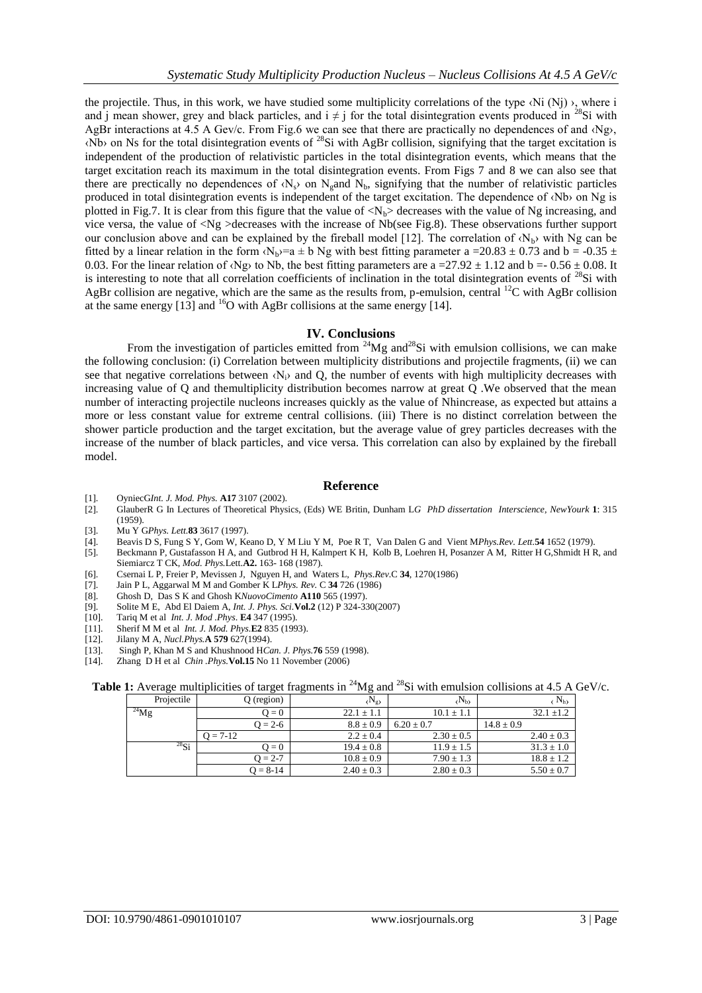the projectile. Thus, in this work, we have studied some multiplicity correlations of the type  $\langle Ni \rangle$ ), where i and i mean shower, grey and black particles, and  $i \neq j$  for the total disintegration events produced in <sup>28</sup>Si with AgBr interactions at 4.5 A Gev/c. From Fig.6 we can see that there are practically no dependences of and ‹Ng›, ‹Nb› on Ns for the total disintegration events of <sup>28</sup>Si with AgBr collision, signifying that the target excitation is independent of the production of relativistic particles in the total disintegration events, which means that the target excitation reach its maximum in the total disintegration events. From Figs 7 and 8 we can also see that there are prectically no dependences of  $\langle N_s \rangle$  on  $N_g$  and  $N_b$ , signifying that the number of relativistic particles produced in total disintegration events is independent of the target excitation. The dependence of ‹Nb› on Ng is plotted in Fig.7. It is clear from this figure that the value of  $\langle N_{b} \rangle$  decreases with the value of Ng increasing, and vice versa, the value of <Ng >decreases with the increase of Nb(see Fig.8). These observations further support our conclusion above and can be explained by the fireball model [12]. The correlation of  $\langle N_{b} \rangle$  with Ng can be fitted by a linear relation in the form  $\langle N_b \rangle = a \pm b$  Ng with best fitting parameter a =20.83  $\pm$  0.73 and b = -0.35  $\pm$ 0.03. For the linear relation of  $\langle Ng \rangle$  to Nb, the best fitting parameters are a =27.92  $\pm$  1.12 and b = 0.56  $\pm$  0.08. It is interesting to note that all correlation coefficients of inclination in the total disintegration events of  $^{28}Si$  with AgBr collision are negative, which are the same as the results from, p-emulsion, central  $^{12}C$  with AgBr collision at the same energy  $[13]$  and <sup>16</sup>O with AgBr collisions at the same energy  $[14]$ .

# **IV. Conclusions**

From the investigation of particles emitted from <sup>24</sup>Mg and<sup>28</sup>Si with emulsion collisions, we can make the following conclusion: (i) Correlation between multiplicity distributions and projectile fragments, (ii) we can see that negative correlations between  $\langle N_i \rangle$  and Q, the number of events with high multiplicity decreases with increasing value of Q and themultiplicity distribution becomes narrow at great Q .We observed that the mean number of interacting projectile nucleons increases quickly as the value of Nhincrease, as expected but attains a more or less constant value for extreme central collisions. (iii) There is no distinct correlation between the shower particle production and the target excitation, but the average value of grey particles decreases with the increase of the number of black particles, and vice versa. This correlation can also by explained by the fireball model.

# **Reference**

- [1]. OyniecG*Int. J. Mod. Phys.* **A17** 3107 (2002).
- [2]. GlauberR G In Lectures of Theoretical Physics, (Eds) WE Britin, Dunham L*G PhD dissertation Interscience, NewYourk* **1**: 315 (1959).
- [3]. Mu Y G*Phys. Lett.***83** 3617 (1997).
- [4]. Beavis D S, Fung S Y, Gom W, Keano D, Y M Liu Y M, Poe R T, Van Dalen G and Vient M*Phys.Rev. Lett.***54** 1652 (1979).
- [5]. Beckmann P, Gustafasson H A, and Gutbrod H H, Kalmpert K H, Kolb B, Loehren H, Posanzer A M, Ritter H G,Shmidt H R, and Siemiarcz T CK*, Mod. Phys.*Lett.**A2.** 163- 168 (1987).
- [6]. Csernai L P, Freier P, Mevissen J, Nguyen H, and Waters L, *Phys.Rev.*C **34**, 1270(1986)
- [7]. Jain P L, Aggarwal M M and Gomber K L*Phys. Rev.* C **34** 726 (1986)
- [8]. Ghosh D, Das S K and Ghosh K*NuovoCimento* **A110** 565 (1997).
- [9]. Solite M E, Abd El Daiem A, *Int. J. Phys. Sci.***Vol.2** (12) P 324-330(2007)
- [10]. Tariq M et al *Int. J. Mod .Phys*. **E4** 347 (1995).
- [11]. Sherif M M et al *Int. J. Mod. Phys.***E2** 835 (1993).
- [12]. Jilany M A*, Nucl.Phys.***A 579** 627(1994).
- [13]. Singh P, Khan M S and Khushnood H*Can. J. Phys.***76** 559 (1998).
- [14]. Zhang D H et al *Chin .Phys.***Vol.15** No 11 November (2006)

# **Table 1:** Average multiplicities of target fragments in <sup>24</sup>Mg and <sup>28</sup>Si with emulsion collisions at 4.5 A GeV/c.

|            |              | _              |                |                |
|------------|--------------|----------------|----------------|----------------|
| Projectile | $Q$ (region) | $(N_g)$        | $(N_b)$        | $N_{h}$        |
| $^{24}$ Mg | $0 = C$      | $22.1 \pm 1.1$ | $10.1 \pm 1.1$ | $32.1 \pm 1.2$ |
|            | $Q = 2 - 6$  | $8.8 \pm 0.9$  | $6.20 \pm 0.7$ | $14.8 \pm 0.9$ |
|            | $Q = 7-12$   | $2.2 \pm 0.4$  | $2.30 \pm 0.5$ | $2.40 \pm 0.3$ |
| $^{28}$ Si | $0 = C$      | $19.4 \pm 0.8$ | $11.9 \pm 1.5$ | $31.3 \pm 1.0$ |
|            | $Q = 2-7$    | $10.8 \pm 0.9$ | $7.90 \pm 1.3$ | $18.8 \pm 1.2$ |
|            | $Q = 8-14$   | $2.40 \pm 0.3$ | $2.80 \pm 0.3$ | $5.50 \pm 0.7$ |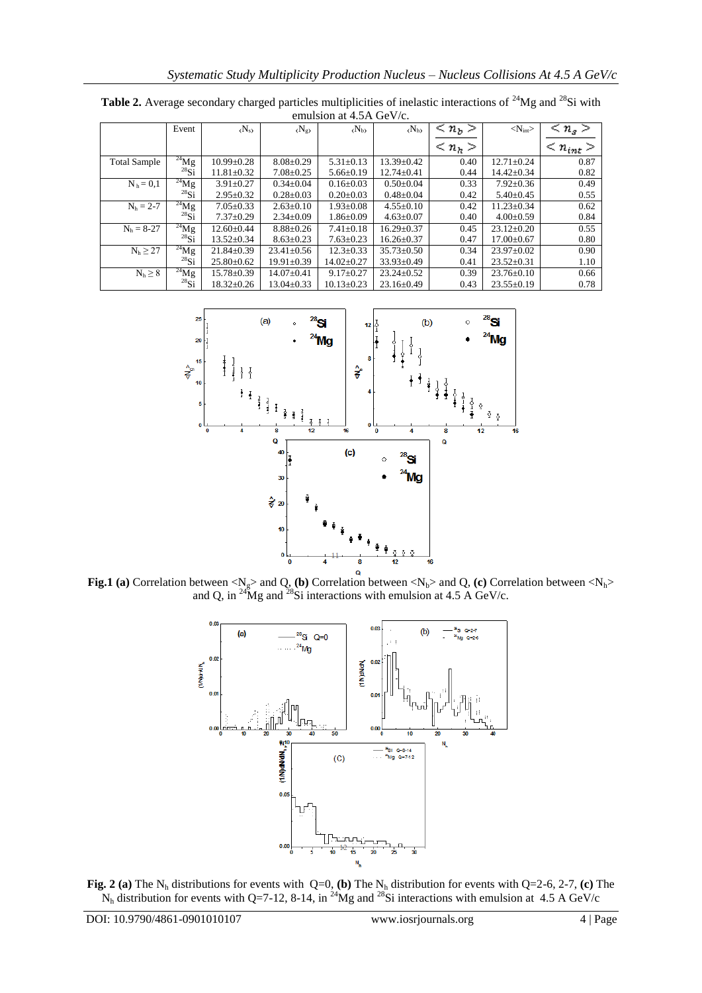| $\alpha$ . The set of $\alpha$ is $\alpha$ in $\alpha$ in $\alpha$ in $\alpha$ in $\alpha$ is a set of $\alpha$ in $\alpha$ in $\alpha$ is a set of $\alpha$ is a set of $\alpha$ is a set of $\alpha$ is a set of $\alpha$ is a set of $\alpha$ is a set of $\alpha$ is a set of $\alpha$ is a s |            |                       |                             |                  |                  |                       |                     |                         |  |  |
|---------------------------------------------------------------------------------------------------------------------------------------------------------------------------------------------------------------------------------------------------------------------------------------------------|------------|-----------------------|-----------------------------|------------------|------------------|-----------------------|---------------------|-------------------------|--|--|
|                                                                                                                                                                                                                                                                                                   | Event      | $\langle N_s \rangle$ | $\langle N_{\rm g} \rangle$ | $(N_b)$          | $(N_h)$          | $\langle n_b \rangle$ | $<\!N_{\rm int}\!>$ | $\langle n_{s} \rangle$ |  |  |
|                                                                                                                                                                                                                                                                                                   |            |                       |                             |                  |                  | $\langle n_h \rangle$ |                     | $\leq n_{int}$          |  |  |
| <b>Total Sample</b>                                                                                                                                                                                                                                                                               | $^{24}Mg$  | $10.99 \pm 0.28$      | $8.08 \pm 0.29$             | $5.31 \pm 0.13$  | $13.39 \pm 0.42$ | 0.40                  | $12.71 \pm 0.24$    | 0.87                    |  |  |
|                                                                                                                                                                                                                                                                                                   | $^{28}$ Si | $11.81 \pm 0.32$      | $7.08 \pm 0.25$             | $5.66 \pm 0.19$  | $12.74 \pm 0.41$ | 0.44                  | $14.42 \pm 0.34$    | 0.82                    |  |  |
| $N_h = 0.1$                                                                                                                                                                                                                                                                                       | $^{24}Mg$  | $3.91 \pm 0.27$       | $0.34 \pm 0.04$             | $0.16 \pm 0.03$  | $0.50 \pm 0.04$  | 0.33                  | $7.92 \pm 0.36$     | 0.49                    |  |  |
|                                                                                                                                                                                                                                                                                                   | $^{28}$ Si | $2.95 \pm 0.32$       | $0.28 \pm 0.03$             | $0.20 \pm 0.03$  | $0.48 \pm 0.04$  | 0.42                  | $5.40 \pm 0.45$     | 0.55                    |  |  |
| $N_h = 2-7$                                                                                                                                                                                                                                                                                       | $^{24}$ Mg | $7.05 \pm 0.33$       | $2.63 \pm 0.10$             | $1.93 \pm 0.08$  | $4.55 \pm 0.10$  | 0.42                  | $11.23 \pm 0.34$    | 0.62                    |  |  |
|                                                                                                                                                                                                                                                                                                   | $^{28}$ Si | $7.37 \pm 0.29$       | $2.34 \pm 0.09$             | $1.86 \pm 0.09$  | $4.63 \pm 0.07$  | 0.40                  | $4.00 \pm 0.59$     | 0.84                    |  |  |
| $N_h = 8-27$                                                                                                                                                                                                                                                                                      | $^{24}$ Mg | $12.60 \pm 0.44$      | $8.88 \pm 0.26$             | $7.41 \pm 0.18$  | $16.29 \pm 0.37$ | 0.45                  | $23.12 \pm 0.20$    | 0.55                    |  |  |
|                                                                                                                                                                                                                                                                                                   | $^{28}$ Si | $13.52 \pm 0.34$      | $8.63 \pm 0.23$             | $7.63 \pm 0.23$  | $16.26 \pm 0.37$ | 0.47                  | $17.00 \pm 0.67$    | 0.80                    |  |  |
| $N_h \geq 27$                                                                                                                                                                                                                                                                                     | $^{24}$ Mg | $21.84 \pm 0.39$      | $23.41 \pm 0.56$            | $12.3 \pm 0.33$  | $35.73 \pm 0.50$ | 0.34                  | $23.97 \pm 0.02$    | 0.90                    |  |  |
|                                                                                                                                                                                                                                                                                                   | $^{28}$ Si | $25.80 \pm 0.62$      | $19.91 \pm 0.39$            | $14.02 \pm 0.27$ | $33.93 \pm 0.49$ | 0.41                  | $23.52 \pm 0.31$    | 1.10                    |  |  |
| $N_h \geq 8$                                                                                                                                                                                                                                                                                      | $^{24}$ Mg | $15.78 \pm 0.39$      | $14.07 \pm 0.41$            | $9.17 \pm 0.27$  | $23.24 \pm 0.52$ | 0.39                  | $23.76 \pm 0.10$    | 0.66                    |  |  |
|                                                                                                                                                                                                                                                                                                   | $^{28}$ Si | $18.32 \pm 0.26$      | $13.04 \pm 0.33$            | $10.13 \pm 0.23$ | $23.16 \pm 0.49$ | 0.43                  | $23.55 \pm 0.19$    | 0.78                    |  |  |

Table 2. Average secondary charged particles multiplicities of inelastic interactions of <sup>24</sup>Mg and <sup>28</sup>Si with emulsion at 4.5A GeV/c.



**Fig.1 (a)** Correlation between  $\langle N_g \rangle$  and Q, (b) Correlation between  $\langle N_b \rangle$  and Q, (c) Correlation between  $\langle N_h \rangle$ and Q, in <sup>24</sup>Mg and <sup>28</sup>Si interactions with emulsion at 4.5 A GeV/c.



**Fig. 2 (a)** The  $N_h$  distributions for events with  $Q=0$ , **(b)** The  $N_h$  distribution for events with  $Q=2-6$ , 2-7, **(c)** The  $N_h$  distribution for events with Q=7-12, 8-14, in <sup>24</sup>Mg and <sup>28</sup>Si interactions with emulsion at 4.5 A GeV/c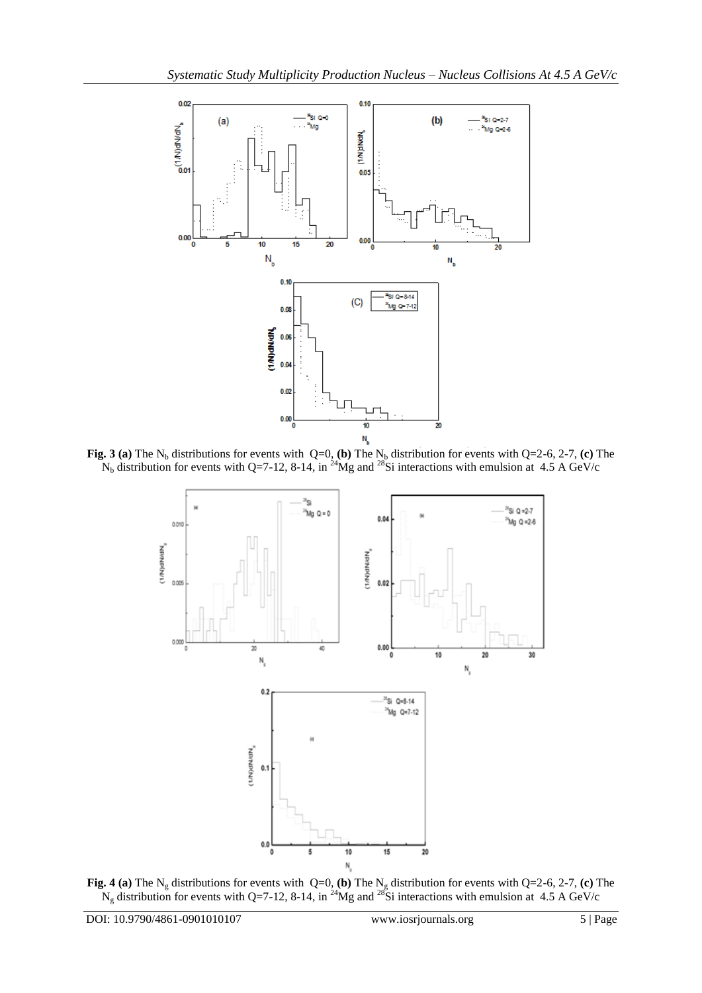

**Fig. 3 (a)** The N<sub>b</sub> distributions for events with  $Q=0$ , **(b)** The N<sub>b</sub> distribution for events with  $Q=2-6$ , 2-7, **(c)** The  $N_b$  distribution for events with Q=7-12, 8-14, in <sup>24</sup>Mg and <sup>28</sup>Si interactions with emulsion at 4.5 A GeV/c



**Fig. 4 (a)** The N<sub>g</sub> distributions for events with  $Q=0$ , **(b)** The N<sub>g</sub> distribution for events with  $Q=2-6$ , 2-7, **(c)** The N<sub>g</sub> distribution for events with Q=7-12, 8-14, in <sup>24</sup>Mg and <sup>28</sup>Si interactions with emulsion at 4.5 A GeV/c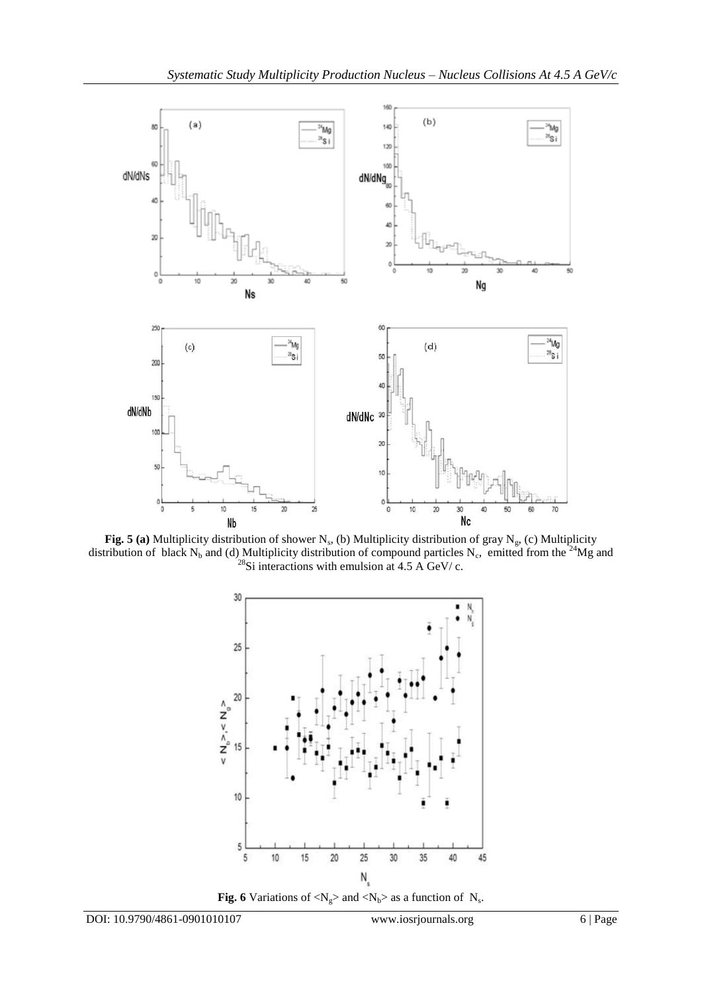

**Fig. 5 (a)** Multiplicity distribution of shower N<sub>s</sub>, (b) Multiplicity distribution of gray N<sub>g</sub>, (c) Multiplicity distribution of black N<sub>b</sub> and (d) Multiplicity distribution of compound particles N<sub>c</sub>, emitted from the <sup>24</sup>Mg and  $^{28}$ Si interactions with emulsion at 4.5 A GeV/ c.



**Fig. 6** Variations of  $\langle N_g \rangle$  and  $\langle N_b \rangle$  as a function of  $N_s$ .